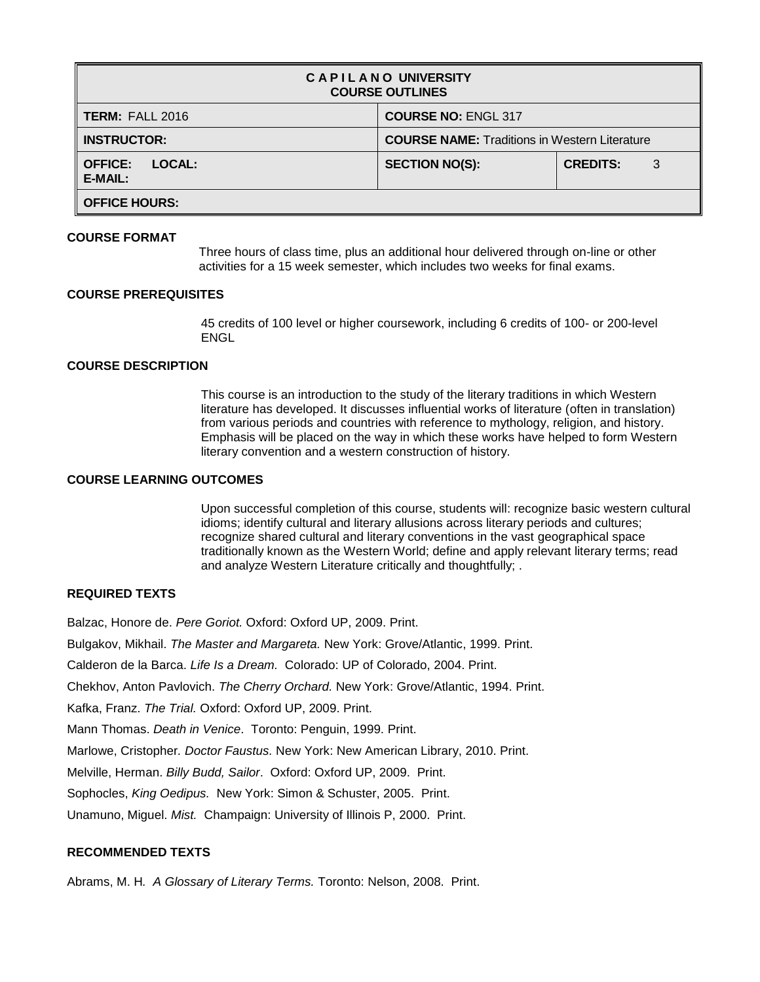| <b>CAPILANO UNIVERSITY</b><br><b>COURSE OUTLINES</b> |                                                      |                      |  |
|------------------------------------------------------|------------------------------------------------------|----------------------|--|
| <b>TERM: FALL 2016</b>                               | <b>COURSE NO: ENGL 317</b>                           |                      |  |
| <b>INSTRUCTOR:</b>                                   | <b>COURSE NAME: Traditions in Western Literature</b> |                      |  |
| LOCAL:<br><b>OFFICE:</b><br>E-MAIL:                  | <b>SECTION NO(S):</b>                                | <b>CREDITS:</b><br>3 |  |
| <b>OFFICE HOURS:</b>                                 |                                                      |                      |  |

### **COURSE FORMAT**

Three hours of class time, plus an additional hour delivered through on-line or other activities for a 15 week semester, which includes two weeks for final exams.

### **COURSE PREREQUISITES**

45 credits of 100 level or higher coursework, including 6 credits of 100- or 200-level ENGL

### **COURSE DESCRIPTION**

This course is an introduction to the study of the literary traditions in which Western literature has developed. It discusses influential works of literature (often in translation) from various periods and countries with reference to mythology, religion, and history. Emphasis will be placed on the way in which these works have helped to form Western literary convention and a western construction of history.

# **COURSE LEARNING OUTCOMES**

Upon successful completion of this course, students will: recognize basic western cultural idioms; identify cultural and literary allusions across literary periods and cultures; recognize shared cultural and literary conventions in the vast geographical space traditionally known as the Western World; define and apply relevant literary terms; read and analyze Western Literature critically and thoughtfully; .

# **REQUIRED TEXTS**

Balzac, Honore de. *Pere Goriot.* Oxford: Oxford UP, 2009. Print.

Bulgakov, Mikhail. *The Master and Margareta.* New York: Grove/Atlantic, 1999. Print.

Calderon de la Barca. *Life Is a Dream.* Colorado: UP of Colorado, 2004. Print.

Chekhov, Anton Pavlovich. *The Cherry Orchard.* New York: Grove/Atlantic, 1994. Print.

Kafka, Franz. *The Trial.* Oxford: Oxford UP, 2009. Print.

Mann Thomas. *Death in Venice*. Toronto: Penguin, 1999. Print.

Marlowe, Cristopher*. Doctor Faustus.* New York: New American Library, 2010. Print.

Melville, Herman. *Billy Budd, Sailor*. Oxford: Oxford UP, 2009. Print.

Sophocles, *King Oedipus.* New York: Simon & Schuster, 2005. Print.

Unamuno, Miguel. *Mist.* Champaign: University of Illinois P, 2000. Print.

# **RECOMMENDED TEXTS**

Abrams, M. H*. A Glossary of Literary Terms.* Toronto: Nelson, 2008. Print.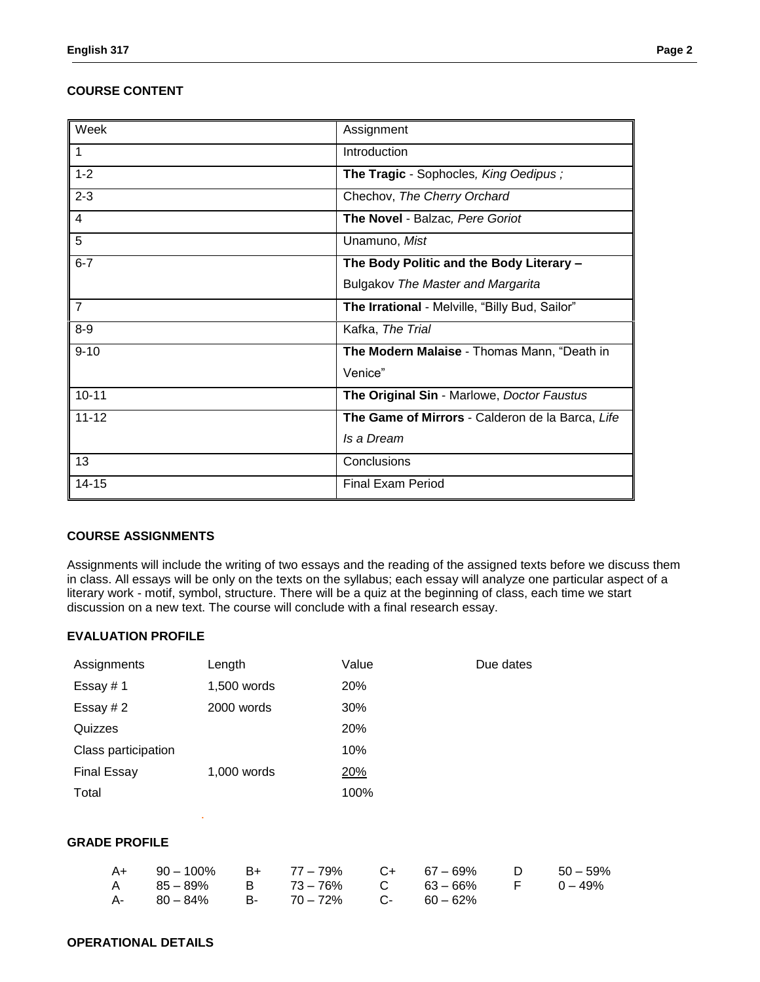# **COURSE CONTENT**

| Week           | Assignment                                       |
|----------------|--------------------------------------------------|
|                | Introduction                                     |
| $1 - 2$        | The Tragic - Sophocles, King Oedipus;            |
| $2 - 3$        | Chechov, The Cherry Orchard                      |
| 4              | The Novel - Balzac, Pere Goriot                  |
| 5              | Unamuno, Mist                                    |
| $6 - 7$        | The Body Politic and the Body Literary -         |
|                | <b>Bulgakov The Master and Margarita</b>         |
| $\overline{7}$ | The Irrational - Melville, "Billy Bud, Sailor"   |
| $8 - 9$        | Kafka, The Trial                                 |
| $9 - 10$       | The Modern Malaise - Thomas Mann, "Death in      |
|                | Venice"                                          |
| $10 - 11$      | The Original Sin - Marlowe, Doctor Faustus       |
| $11 - 12$      | The Game of Mirrors - Calderon de la Barca, Life |
|                | Is a Dream                                       |
| 13             | Conclusions                                      |
| $14 - 15$      | <b>Final Exam Period</b>                         |

## **COURSE ASSIGNMENTS**

Assignments will include the writing of two essays and the reading of the assigned texts before we discuss them in class. All essays will be only on the texts on the syllabus; each essay will analyze one particular aspect of a literary work - motif, symbol, structure. There will be a quiz at the beginning of class, each time we start discussion on a new text. The course will conclude with a final research essay.

### **EVALUATION PROFILE**

| Assignments          | Length      | Value | Due dates |  |
|----------------------|-------------|-------|-----------|--|
| Essay #1             | 1,500 words | 20%   |           |  |
| Essay #2             | 2000 words  | 30%   |           |  |
| Quizzes              |             | 20%   |           |  |
| Class participation  |             | 10%   |           |  |
| <b>Final Essay</b>   | 1,000 words | 20%   |           |  |
| Total                |             | 100%  |           |  |
|                      | ٠           |       |           |  |
| <b>GRADE PROFILE</b> |             |       |           |  |

| A+ 90 - 100% B+ 77 - 79% C+ 67 - 69% D 50 - 59% |  |  |  |
|-------------------------------------------------|--|--|--|
| A 85-89% B 73-76% C 63-66% F 0-49%              |  |  |  |
| $A - 80 - 84\%$ B- $70 - 72\%$ C- $60 - 62\%$   |  |  |  |